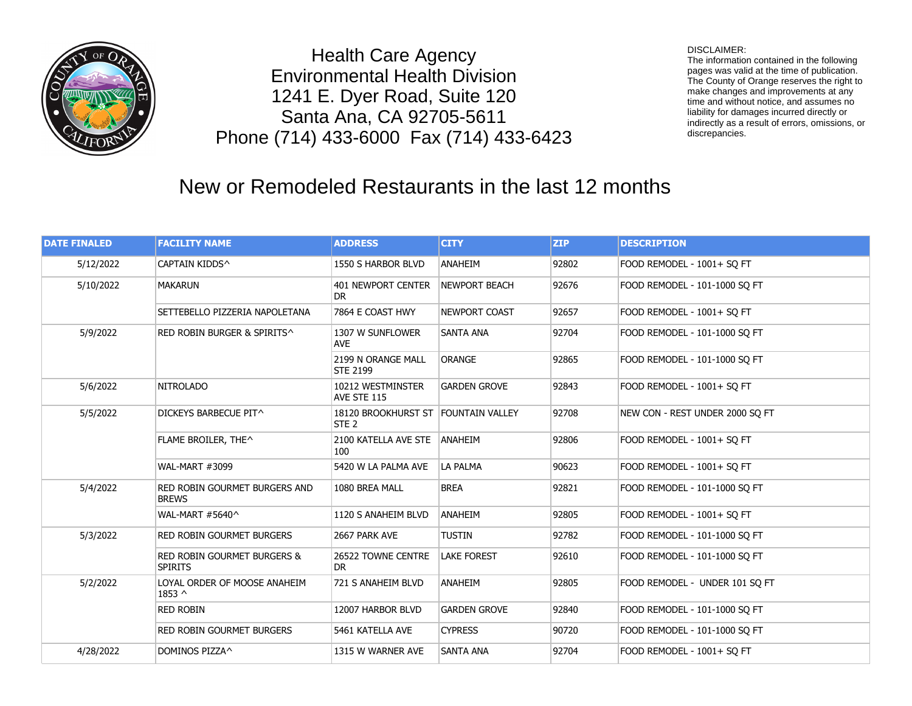

Health Care Agency Environmental Health Division 1241 E. Dyer Road, Suite 120 Santa Ana, CA 92705-5611 Phone (714) 433-6000 Fax (714) 433-6423

## DISCLAIMER:

The information contained in the following pages was valid at the time of publication. The County of Orange reserves the right to make changes and improvements at any time and without notice, and assumes no liability for damages incurred directly or indirectly as a result of errors, omissions, or discrepancies.

## New or Remodeled Restaurants in the last 12 months

| <b>DATE FINALED</b> | <b>FACILITY NAME</b>                                     | <b>ADDRESS</b>                                          | <b>CITY</b>         | <b>ZIP</b> | <b>DESCRIPTION</b>              |
|---------------------|----------------------------------------------------------|---------------------------------------------------------|---------------------|------------|---------------------------------|
| 5/12/2022           | CAPTAIN KIDDS^                                           | 1550 S HARBOR BLVD                                      | ANAHEIM             | 92802      | FOOD REMODEL - 1001+ SO FT      |
| 5/10/2022           | <b>MAKARUN</b>                                           | 401 NEWPORT CENTER<br>DR                                | NEWPORT BEACH       | 92676      | FOOD REMODEL - 101-1000 SO FT   |
|                     | SETTEBELLO PIZZERIA NAPOLETANA                           | 7864 E COAST HWY                                        | NEWPORT COAST       | 92657      | FOOD REMODEL - 1001+ SO FT      |
| 5/9/2022            | RED ROBIN BURGER & SPIRITS^                              | 1307 W SUNFLOWER<br><b>AVE</b>                          | <b>SANTA ANA</b>    | 92704      | FOOD REMODEL - 101-1000 SQ FT   |
|                     |                                                          | 2199 N ORANGE MALL<br><b>STE 2199</b>                   | <b>ORANGE</b>       | 92865      | FOOD REMODEL - 101-1000 SO FT   |
| 5/6/2022            | <b>NITROLADO</b>                                         | 10212 WESTMINSTER<br>AVE STE 115                        | <b>GARDEN GROVE</b> | 92843      | FOOD REMODEL - 1001+ SO FT      |
| 5/5/2022            | DICKEYS BARBECUE PIT^                                    | 18120 BROOKHURST ST FOUNTAIN VALLEY<br>STE <sub>2</sub> |                     | 92708      | NEW CON - REST UNDER 2000 SO FT |
|                     | FLAME BROILER, THE^                                      | 2100 KATELLA AVE STE ANAHEIM<br>100                     |                     | 92806      | FOOD REMODEL - 1001+ SO FT      |
|                     | <b>WAL-MART #3099</b>                                    | 5420 W LA PALMA AVE                                     | LA PALMA            | 90623      | FOOD REMODEL - 1001+ SO FT      |
| 5/4/2022            | RED ROBIN GOURMET BURGERS AND<br><b>BREWS</b>            | 1080 BREA MALL                                          | <b>BREA</b>         | 92821      | FOOD REMODEL - 101-1000 SO FT   |
|                     | WAL-MART #5640^                                          | 1120 S ANAHEIM BLVD                                     | ANAHEIM             | 92805      | FOOD REMODEL - 1001+ SQ FT      |
| 5/3/2022            | RED ROBIN GOURMET BURGERS                                | 2667 PARK AVE                                           | <b>TUSTIN</b>       | 92782      | FOOD REMODEL - 101-1000 SQ FT   |
|                     | <b>RED ROBIN GOURMET BURGERS &amp;</b><br><b>SPIRITS</b> | 26522 TOWNE CENTRE<br>DR                                | <b>LAKE FOREST</b>  | 92610      | FOOD REMODEL - 101-1000 SO FT   |
| 5/2/2022            | LOYAL ORDER OF MOOSE ANAHEIM<br>$1853 \wedge$            | 721 S ANAHEIM BLVD                                      | ANAHEIM             | 92805      | FOOD REMODEL - UNDER 101 SQ FT  |
|                     | <b>RED ROBIN</b>                                         | 12007 HARBOR BLVD                                       | <b>GARDEN GROVE</b> | 92840      | FOOD REMODEL - 101-1000 SO FT   |
|                     | RED ROBIN GOURMET BURGERS                                | 5461 KATELLA AVE                                        | <b>CYPRESS</b>      | 90720      | FOOD REMODEL - 101-1000 SQ FT   |
| 4/28/2022           | DOMINOS PIZZA^                                           | 1315 W WARNER AVE                                       | <b>SANTA ANA</b>    | 92704      | FOOD REMODEL - 1001+ SO FT      |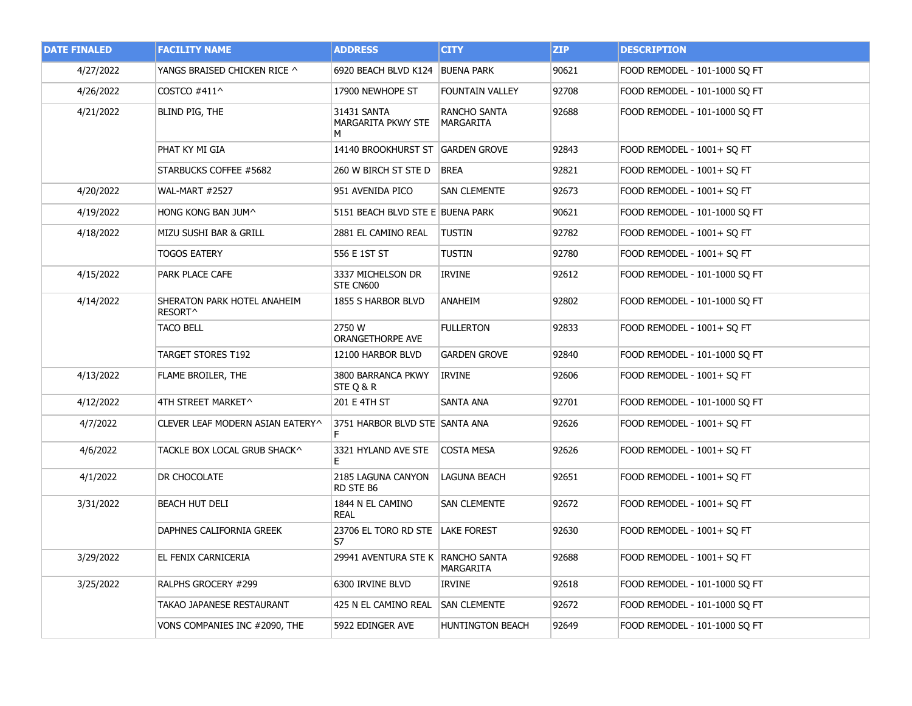| <b>DATE FINALED</b> | <b>FACILITY NAME</b>                   | <b>ADDRESS</b>                         | <b>CITY</b>                      | <b>ZIP</b> | <b>DESCRIPTION</b>            |
|---------------------|----------------------------------------|----------------------------------------|----------------------------------|------------|-------------------------------|
| 4/27/2022           | YANGS BRAISED CHICKEN RICE ^           | 6920 BEACH BLVD K124 BUENA PARK        |                                  | 90621      | FOOD REMODEL - 101-1000 SQ FT |
| 4/26/2022           | COSTCO #411^                           | 17900 NEWHOPE ST                       | <b>FOUNTAIN VALLEY</b>           | 92708      | FOOD REMODEL - 101-1000 SQ FT |
| 4/21/2022           | BLIND PIG, THE                         | 31431 SANTA<br>MARGARITA PKWY STE<br>м | RANCHO SANTA<br><b>MARGARITA</b> | 92688      | FOOD REMODEL - 101-1000 SQ FT |
|                     | PHAT KY MI GIA                         | 14140 BROOKHURST ST GARDEN GROVE       |                                  | 92843      | FOOD REMODEL - 1001+ SQ FT    |
|                     | STARBUCKS COFFEE #5682                 | 260 W BIRCH ST STE D BREA              |                                  | 92821      | FOOD REMODEL - 1001+ SQ FT    |
| 4/20/2022           | <b>WAL-MART #2527</b>                  | 951 AVENIDA PICO                       | <b>SAN CLEMENTE</b>              | 92673      | FOOD REMODEL - 1001+ SQ FT    |
| 4/19/2022           | hong kong ban Jum^                     | 5151 BEACH BLVD STE E BUENA PARK       |                                  | 90621      | FOOD REMODEL - 101-1000 SQ FT |
| 4/18/2022           | MIZU SUSHI BAR & GRILL                 | 2881 EL CAMINO REAL                    | <b>TUSTIN</b>                    | 92782      | FOOD REMODEL - 1001+ SO FT    |
|                     | TOGOS EATERY                           | 556 E 1ST ST                           | TUSTIN                           | 92780      | FOOD REMODEL - 1001+ SQ FT    |
| 4/15/2022           | PARK PLACE CAFE                        | 3337 MICHELSON DR<br>STE CN600         | <b>IRVINE</b>                    | 92612      | FOOD REMODEL - 101-1000 SQ FT |
| 4/14/2022           | SHERATON PARK HOTEL ANAHEIM<br>RESORT^ | 1855 S HARBOR BLVD                     | ANAHEIM                          | 92802      | FOOD REMODEL - 101-1000 SQ FT |
|                     | TACO BELL                              | 2750 W<br>ORANGETHORPE AVE             | <b>FULLERTON</b>                 | 92833      | FOOD REMODEL - 1001+ SQ FT    |
|                     | TARGET STORES T192                     | 12100 HARBOR BLVD                      | GARDEN GROVE                     | 92840      | FOOD REMODEL - 101-1000 SQ FT |
| 4/13/2022           | FLAME BROILER, THE                     | 3800 BARRANCA PKWY<br>STE Q & R        | IRVINE                           | 92606      | FOOD REMODEL - 1001+ SQ FT    |
| 4/12/2022           | 4TH STREET MARKET^                     | 201 E 4TH ST                           | SANTA ANA                        | 92701      | FOOD REMODEL - 101-1000 SQ FT |
| 4/7/2022            | CLEVER LEAF MODERN ASIAN EATERY^       | 3751 HARBOR BLVD STE SANTA ANA         |                                  | 92626      | FOOD REMODEL - 1001+ SQ FT    |
| 4/6/2022            | TACKLE BOX LOCAL GRUB SHACK^           | 3321 HYLAND AVE STE<br>Е               | <b>COSTA MESA</b>                | 92626      | FOOD REMODEL - 1001+ SQ FT    |
| 4/1/2022            | DR CHOCOLATE                           | 2185 LAGUNA CANYON<br>RD STE B6        | <b>LAGUNA BEACH</b>              | 92651      | FOOD REMODEL - 1001+ SQ FT    |
| 3/31/2022           | <b>BEACH HUT DELI</b>                  | 1844 N EL CAMINO<br><b>REAL</b>        | <b>SAN CLEMENTE</b>              | 92672      | FOOD REMODEL - 1001+ SQ FT    |
|                     | DAPHNES CALIFORNIA GREEK               | 23706 EL TORO RD STE LAKE FOREST<br>S7 |                                  | 92630      | FOOD REMODEL - 1001+ SQ FT    |
| 3/29/2022           | EL FENIX CARNICERIA                    | 29941 AVENTURA STE K   RANCHO SANTA    | MARGARITA                        | 92688      | FOOD REMODEL - 1001+ SQ FT    |
| 3/25/2022           | RALPHS GROCERY #299                    | 6300 IRVINE BLVD                       | IRVINE                           | 92618      | FOOD REMODEL - 101-1000 SQ FT |
|                     | TAKAO JAPANESE RESTAURANT              | 425 N EL CAMINO REAL                   | SAN CLEMENTE                     | 92672      | FOOD REMODEL - 101-1000 SQ FT |
|                     | VONS COMPANIES INC #2090, THE          | 5922 EDINGER AVE                       | <b>HUNTINGTON BEACH</b>          | 92649      | FOOD REMODEL - 101-1000 SQ FT |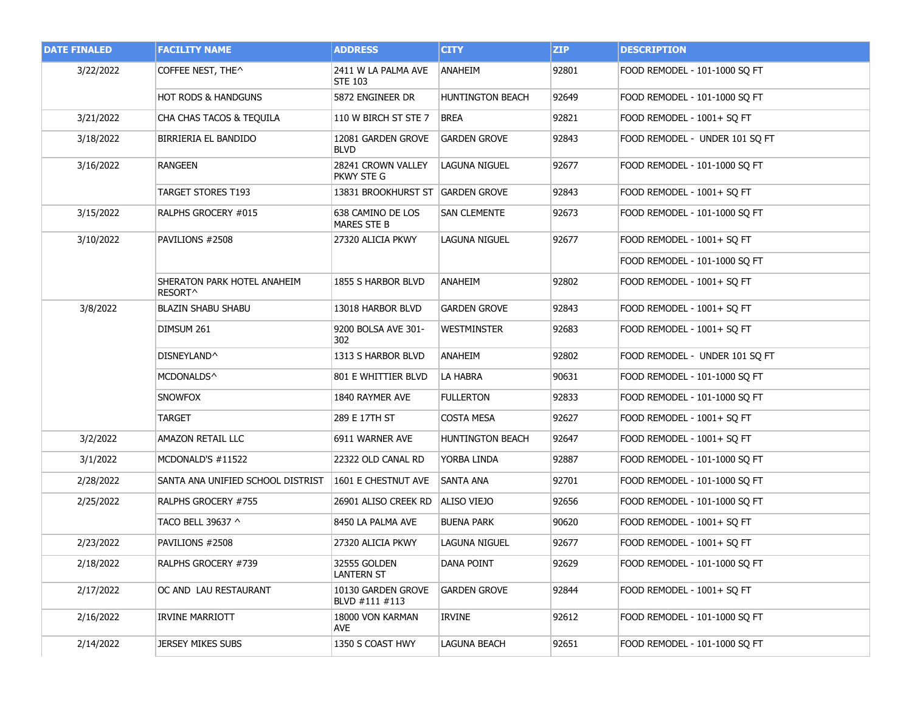| <b>DATE FINALED</b> | <b>FACILITY NAME</b>                   | <b>ADDRESS</b>                          | <b>CITY</b>             | <b>ZIP</b> | <b>DESCRIPTION</b>             |
|---------------------|----------------------------------------|-----------------------------------------|-------------------------|------------|--------------------------------|
| 3/22/2022           | COFFEE NEST, THE^                      | 2411 W LA PALMA AVE<br><b>STE 103</b>   | ANAHEIM                 | 92801      | FOOD REMODEL - 101-1000 SQ FT  |
|                     | <b>HOT RODS &amp; HANDGUNS</b>         | 5872 ENGINEER DR                        | <b>HUNTINGTON BEACH</b> | 92649      | FOOD REMODEL - 101-1000 SQ FT  |
| 3/21/2022           | CHA CHAS TACOS & TEQUILA               | 110 W BIRCH ST STE 7                    | <b>BREA</b>             | 92821      | FOOD REMODEL - 1001+ SO FT     |
| 3/18/2022           | BIRRIERIA EL BANDIDO                   | 12081 GARDEN GROVE<br><b>BLVD</b>       | GARDEN GROVE            | 92843      | FOOD REMODEL - UNDER 101 SQ FT |
| 3/16/2022           | <b>RANGEEN</b>                         | 28241 CROWN VALLEY<br>PKWY STE G        | LAGUNA NIGUEL           | 92677      | FOOD REMODEL - 101-1000 SQ FT  |
|                     | TARGET STORES T193                     | 13831 BROOKHURST ST GARDEN GROVE        |                         | 92843      | FOOD REMODEL - 1001+ SQ FT     |
| 3/15/2022           | RALPHS GROCERY #015                    | 638 CAMINO DE LOS<br><b>MARES STE B</b> | <b>SAN CLEMENTE</b>     | 92673      | FOOD REMODEL - 101-1000 SQ FT  |
| 3/10/2022           | PAVILIONS #2508                        | 27320 ALICIA PKWY                       | <b>LAGUNA NIGUEL</b>    | 92677      | FOOD REMODEL - 1001+ SQ FT     |
|                     |                                        |                                         |                         |            | FOOD REMODEL - 101-1000 SQ FT  |
|                     | SHERATON PARK HOTEL ANAHEIM<br>RESORT^ | 1855 S HARBOR BLVD                      | <b>ANAHEIM</b>          | 92802      | FOOD REMODEL - 1001+ SQ FT     |
| 3/8/2022            | <b>BLAZIN SHABU SHABU</b>              | 13018 HARBOR BLVD                       | <b>GARDEN GROVE</b>     | 92843      | FOOD REMODEL - 1001+ SQ FT     |
|                     | DIMSUM 261                             | 9200 BOLSA AVE 301-<br>302              | Westminster             | 92683      | FOOD REMODEL - 1001+ SQ FT     |
|                     | DISNEYLAND^                            | 1313 S HARBOR BLVD                      | ANAHEIM                 | 92802      | FOOD REMODEL - UNDER 101 SQ FT |
|                     | MCDONALDS^                             | 801 E WHITTIER BLVD                     | LA HABRA                | 90631      | FOOD REMODEL - 101-1000 SQ FT  |
|                     | <b>SNOWFOX</b>                         | 1840 RAYMER AVE                         | <b>FULLERTON</b>        | 92833      | FOOD REMODEL - 101-1000 SQ FT  |
|                     | TARGET                                 | 289 E 17TH ST                           | COSTA MESA              | 92627      | FOOD REMODEL - 1001+ SQ FT     |
| 3/2/2022            | AMAZON RETAIL LLC                      | 6911 WARNER AVE                         | <b>HUNTINGTON BEACH</b> | 92647      | FOOD REMODEL - 1001+ SQ FT     |
| 3/1/2022            | MCDONALD'S #11522                      | 22322 OLD CANAL RD                      | YORBA LINDA             | 92887      | FOOD REMODEL - 101-1000 SQ FT  |
| 2/28/2022           | SANTA ANA UNIFIED SCHOOL DISTRIST      | 1601 E CHESTNUT AVE                     | <b>SANTA ANA</b>        | 92701      | FOOD REMODEL - 101-1000 SQ FT  |
| 2/25/2022           | RALPHS GROCERY #755                    | 26901 ALISO CREEK RD                    | ALISO VIEJO             | 92656      | FOOD REMODEL - 101-1000 SQ FT  |
|                     | TACO BELL 39637 ^                      | 8450 LA PALMA AVE                       | <b>BUENA PARK</b>       | 90620      | FOOD REMODEL - 1001+ SQ FT     |
| 2/23/2022           | PAVILIONS #2508                        | 27320 ALICIA PKWY                       | LAGUNA NIGUEL           | 92677      | FOOD REMODEL - 1001+ SQ FT     |
| 2/18/2022           | RALPHS GROCERY #739                    | 32555 GOLDEN<br><b>LANTERN ST</b>       | DANA POINT              | 92629      | FOOD REMODEL - 101-1000 SQ FT  |
| 2/17/2022           | OC AND LAU RESTAURANT                  | 10130 GARDEN GROVE<br>BLVD #111 #113    | GARDEN GROVE            | 92844      | FOOD REMODEL - 1001+ SO FT     |
| 2/16/2022           | IRVINE MARRIOTT                        | 18000 VON KARMAN<br>AVE.                | IRVINE                  | 92612      | FOOD REMODEL - 101-1000 SQ FT  |
| 2/14/2022           | JERSEY MIKES SUBS                      | 1350 S COAST HWY                        | LAGUNA BEACH            | 92651      | FOOD REMODEL - 101-1000 SO FT  |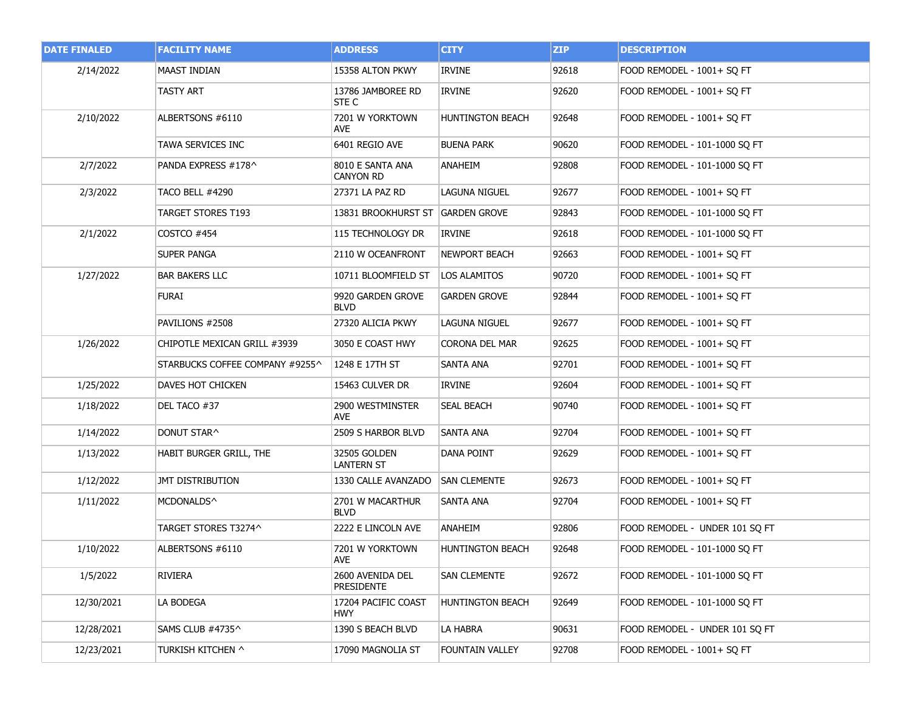| <b>DATE FINALED</b> | <b>FACILITY NAME</b>            | <b>ADDRESS</b>                       | <b>CITY</b>             | <b>ZIP</b> | <b>DESCRIPTION</b>             |
|---------------------|---------------------------------|--------------------------------------|-------------------------|------------|--------------------------------|
| 2/14/2022           | <b>MAAST INDIAN</b>             | 15358 ALTON PKWY                     | <b>IRVINE</b>           | 92618      | FOOD REMODEL - 1001+ SQ FT     |
|                     | TASTY ART                       | 13786 JAMBOREE RD<br>STE C           | <b>IRVINE</b>           | 92620      | FOOD REMODEL - 1001+ SQ FT     |
| 2/10/2022           | ALBERTSONS #6110                | 7201 W YORKTOWN<br>AVE               | <b>HUNTINGTON BEACH</b> | 92648      | FOOD REMODEL - 1001+ SQ FT     |
|                     | TAWA SERVICES INC               | 6401 REGIO AVE                       | <b>BUENA PARK</b>       | 90620      | FOOD REMODEL - 101-1000 SQ FT  |
| 2/7/2022            | PANDA EXPRESS #178^             | 8010 E SANTA ANA<br><b>CANYON RD</b> | ANAHEIM                 | 92808      | FOOD REMODEL - 101-1000 SQ FT  |
| 2/3/2022            | <b>TACO BELL #4290</b>          | 27371 LA PAZ RD                      | <b>LAGUNA NIGUEL</b>    | 92677      | FOOD REMODEL - 1001+ SQ FT     |
|                     | TARGET STORES T193              | 13831 BROOKHURST ST GARDEN GROVE     |                         | 92843      | FOOD REMODEL - 101-1000 SQ FT  |
| 2/1/2022            | COSTCO #454                     | 115 TECHNOLOGY DR                    | IRVINE                  | 92618      | FOOD REMODEL - 101-1000 SQ FT  |
|                     | <b>SUPER PANGA</b>              | 2110 W OCEANFRONT                    | <b>NEWPORT BEACH</b>    | 92663      | FOOD REMODEL - 1001+ SQ FT     |
| 1/27/2022           | <b>BAR BAKERS LLC</b>           | 10711 BLOOMFIELD ST                  | LOS ALAMITOS            | 90720      | FOOD REMODEL - 1001+ SQ FT     |
|                     | <b>FURAI</b>                    | 9920 GARDEN GROVE<br><b>BLVD</b>     | <b>GARDEN GROVE</b>     | 92844      | FOOD REMODEL - 1001+ SQ FT     |
|                     | PAVILIONS #2508                 | 27320 ALICIA PKWY                    | LAGUNA NIGUEL           | 92677      | FOOD REMODEL - 1001+ SQ FT     |
| 1/26/2022           | CHIPOTLE MEXICAN GRILL #3939    | 3050 E COAST HWY                     | CORONA DEL MAR          | 92625      | FOOD REMODEL - 1001+ SQ FT     |
|                     | STARBUCKS COFFEE COMPANY #9255^ | 1248 E 17TH ST                       | SANTA ANA               | 92701      | FOOD REMODEL - 1001+ SQ FT     |
| 1/25/2022           | DAVES HOT CHICKEN               | 15463 CULVER DR                      | IRVINE                  | 92604      | FOOD REMODEL - 1001+ SQ FT     |
| 1/18/2022           | DEL TACO #37                    | 2900 WESTMINSTER<br>AVE.             | <b>SEAL BEACH</b>       | 90740      | FOOD REMODEL - 1001+ SQ FT     |
| 1/14/2022           | DONUT STAR^                     | 2509 S HARBOR BLVD                   | <b>SANTA ANA</b>        | 92704      | FOOD REMODEL - 1001+ SQ FT     |
| 1/13/2022           | HABIT BURGER GRILL, THE         | 32505 GOLDEN<br><b>LANTERN ST</b>    | <b>DANA POINT</b>       | 92629      | FOOD REMODEL - 1001+ SQ FT     |
| 1/12/2022           | JMT DISTRIBUTION                | 1330 CALLE AVANZADO                  | <b>SAN CLEMENTE</b>     | 92673      | FOOD REMODEL - 1001+ SQ FT     |
| 1/11/2022           | MCDONALDS^                      | 2701 W MACARTHUR<br><b>BLVD</b>      | SANTA ANA               | 92704      | FOOD REMODEL - 1001+ SO FT     |
|                     | TARGET STORES T3274^            | 2222 E LINCOLN AVE                   | ANAHEIM                 | 92806      | FOOD REMODEL - UNDER 101 SQ FT |
| 1/10/2022           | ALBERTSONS #6110                | 7201 W YORKTOWN<br><b>AVE</b>        | <b>HUNTINGTON BEACH</b> | 92648      | FOOD REMODEL - 101-1000 SQ FT  |
| 1/5/2022            | RIVIERA                         | 2600 AVENIDA DEL<br>PRESIDENTE       | <b>SAN CLEMENTE</b>     | 92672      | FOOD REMODEL - 101-1000 SQ FT  |
| 12/30/2021          | LA BODEGA                       | 17204 PACIFIC COAST<br><b>HWY</b>    | <b>HUNTINGTON BEACH</b> | 92649      | FOOD REMODEL - 101-1000 SQ FT  |
| 12/28/2021          | SAMS CLUB #4735^                | 1390 S BEACH BLVD                    | LA HABRA                | 90631      | FOOD REMODEL - UNDER 101 SO FT |
| 12/23/2021          | TURKISH KITCHEN ^               | 17090 MAGNOLIA ST                    | <b>FOUNTAIN VALLEY</b>  | 92708      | FOOD REMODEL - 1001+ SQ FT     |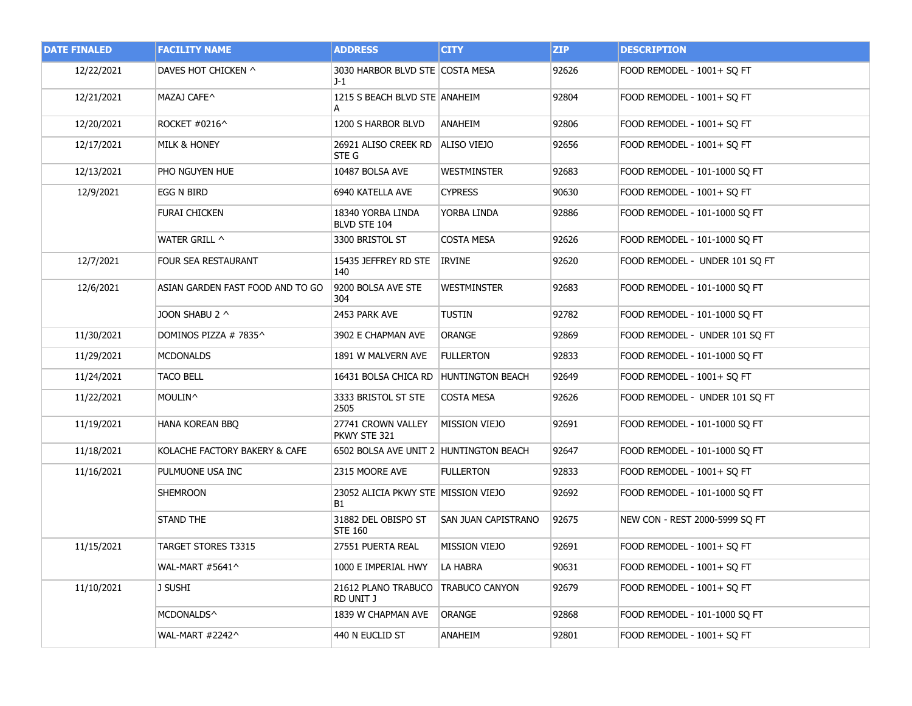| <b>DATE FINALED</b> | <b>FACILITY NAME</b>             | <b>ADDRESS</b>                            | <b>CITY</b>                | <b>ZIP</b> | <b>DESCRIPTION</b>             |
|---------------------|----------------------------------|-------------------------------------------|----------------------------|------------|--------------------------------|
| 12/22/2021          | DAVES HOT CHICKEN ^              | 3030 HARBOR BLVD STE COSTA MESA<br>J-1    |                            | 92626      | FOOD REMODEL - 1001+ SQ FT     |
| 12/21/2021          | MAZAJ CAFE^                      | 1215 S BEACH BLVD STE ANAHEIM             |                            | 92804      | FOOD REMODEL - 1001+ SQ FT     |
| 12/20/2021          | ROCKET #0216^                    | 1200 S HARBOR BLVD                        | ANAHEIM                    | 92806      | FOOD REMODEL - 1001+ SQ FT     |
| 12/17/2021          | <b>MILK &amp; HONEY</b>          | 26921 ALISO CREEK RD<br>STE G             | ALISO VIEJO                | 92656      | FOOD REMODEL - 1001+ SQ FT     |
| 12/13/2021          | PHO NGUYEN HUE                   | 10487 BOLSA AVE                           | WESTMINSTER                | 92683      | FOOD REMODEL - 101-1000 SQ FT  |
| 12/9/2021           | EGG N BIRD                       | 6940 KATELLA AVE                          | <b>CYPRESS</b>             | 90630      | FOOD REMODEL - 1001+ SQ FT     |
|                     | FURAI CHICKEN                    | 18340 YORBA LINDA<br>BLVD STE 104         | YORBA LINDA                | 92886      | FOOD REMODEL - 101-1000 SQ FT  |
|                     | WATER GRILL ^                    | 3300 BRISTOL ST                           | <b>COSTA MESA</b>          | 92626      | FOOD REMODEL - 101-1000 SQ FT  |
| 12/7/2021           | FOUR SEA RESTAURANT              | 15435 JEFFREY RD STE<br>140               | IRVINE                     | 92620      | FOOD REMODEL - UNDER 101 SQ FT |
| 12/6/2021           | ASIAN GARDEN FAST FOOD AND TO GO | 9200 BOLSA AVE STE<br>304                 | WESTMINSTER                | 92683      | FOOD REMODEL - 101-1000 SQ FT  |
|                     | JOON SHABU 2 ^                   | 2453 PARK AVE                             | <b>TUSTIN</b>              | 92782      | FOOD REMODEL - 101-1000 SQ FT  |
| 11/30/2021          | Dominos pizza # 7835^            | 3902 E CHAPMAN AVE                        | ORANGE                     | 92869      | FOOD REMODEL - UNDER 101 SQ FT |
| 11/29/2021          | <b>MCDONALDS</b>                 | 1891 W MALVERN AVE                        | <b>FULLERTON</b>           | 92833      | FOOD REMODEL - 101-1000 SQ FT  |
| 11/24/2021          | <b>TACO BELL</b>                 | 16431 BOLSA CHICA RD   HUNTINGTON BEACH   |                            | 92649      | FOOD REMODEL - 1001+ SQ FT     |
| 11/22/2021          | MOULIN^_                         | 3333 BRISTOL ST STE<br>2505               | <b>COSTA MESA</b>          | 92626      | FOOD REMODEL - UNDER 101 SQ FT |
| 11/19/2021          | HANA KOREAN BBQ                  | 27741 CROWN VALLEY<br>PKWY STE 321        | <b>MISSION VIEJO</b>       | 92691      | FOOD REMODEL - 101-1000 SQ FT  |
| 11/18/2021          | KOLACHE FACTORY BAKERY & CAFE    | 6502 BOLSA AVE UNIT 2 HUNTINGTON BEACH    |                            | 92647      | FOOD REMODEL - 101-1000 SQ FT  |
| 11/16/2021          | PULMUONE USA INC                 | 2315 MOORE AVE                            | FULLERTON                  | 92833      | FOOD REMODEL - 1001+ SQ FT     |
|                     | SHEMROON                         | 23052 ALICIA PKWY STE MISSION VIEJO<br>B1 |                            | 92692      | FOOD REMODEL - 101-1000 SQ FT  |
|                     | <b>STAND THE</b>                 | 31882 DEL OBISPO ST<br><b>STE 160</b>     | <b>SAN JUAN CAPISTRANO</b> | 92675      | NEW CON - REST 2000-5999 SQ FT |
| 11/15/2021          | TARGET STORES T3315              | 27551 PUERTA REAL                         | MISSION VIEJO              | 92691      | FOOD REMODEL - 1001+ SQ FT     |
|                     | WAL-MART #5641^                  | 1000 E IMPERIAL HWY                       | LA HABRA                   | 90631      | FOOD REMODEL - 1001+ SO FT     |
| 11/10/2021          | J SUSHI                          | 21612 PLANO TRABUCO<br>RD UNIT J          | <b>TRABUCO CANYON</b>      | 92679      | FOOD REMODEL - 1001+ SQ FT     |
|                     | MCDONALDS^                       | 1839 W CHAPMAN AVE                        | ORANGE                     | 92868      | FOOD REMODEL - 101-1000 SQ FT  |
|                     | WAL-MART #2242^                  | 440 N EUCLID ST                           | ANAHEIM                    | 92801      | FOOD REMODEL - 1001+ SQ FT     |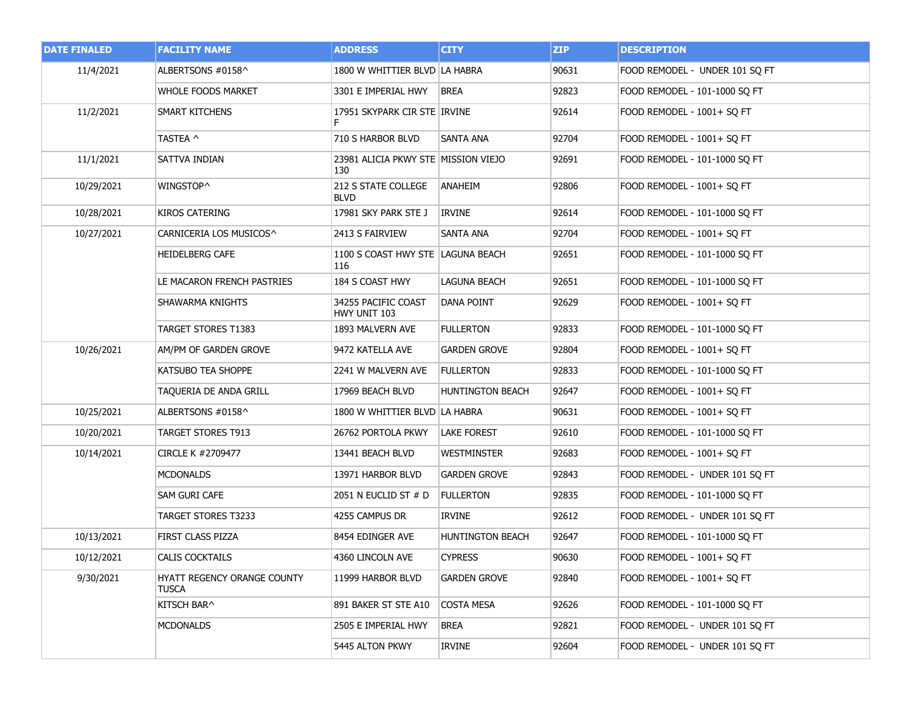| <b>DATE FINALED</b> | <b>FACILITY NAME</b>                 | <b>ADDRESS</b>                             | <b>CITY</b>             | <b>ZIP</b> | <b>DESCRIPTION</b>             |
|---------------------|--------------------------------------|--------------------------------------------|-------------------------|------------|--------------------------------|
| 11/4/2021           | ALBERTSONS #0158^                    | 1800 W WHITTIER BLVD LA HABRA              |                         | 90631      | FOOD REMODEL - UNDER 101 SQ FT |
|                     | <b>WHOLE FOODS MARKET</b>            | 3301 E IMPERIAL HWY                        | <b>BREA</b>             | 92823      | FOOD REMODEL - 101-1000 SQ FT  |
| 11/2/2021           | SMART KITCHENS                       | 17951 SKYPARK CIR STE IRVINE               |                         | 92614      | FOOD REMODEL - 1001+ SQ FT     |
|                     | TASTEA ^                             | 710 S HARBOR BLVD                          | <b>SANTA ANA</b>        | 92704      | FOOD REMODEL - 1001+ SQ FT     |
| 11/1/2021           | SATTVA INDIAN                        | 23981 ALICIA PKWY STE MISSION VIEJO<br>130 |                         | 92691      | FOOD REMODEL - 101-1000 SQ FT  |
| 10/29/2021          | WINGSTOP^                            | 212 S STATE COLLEGE<br><b>BLVD</b>         | <b>ANAHEIM</b>          | 92806      | FOOD REMODEL - 1001+ SQ FT     |
| 10/28/2021          | <b>KIROS CATERING</b>                | 17981 SKY PARK STE J                       | <b>IRVINE</b>           | 92614      | FOOD REMODEL - 101-1000 SQ FT  |
| 10/27/2021          | CARNICERIA LOS MUSICOS^              | 2413 S FAIRVIEW                            | SANTA ANA               | 92704      | FOOD REMODEL - 1001+ SQ FT     |
|                     | <b>HEIDELBERG CAFE</b>               | 1100 S COAST HWY STE LAGUNA BEACH<br>116   |                         | 92651      | FOOD REMODEL - 101-1000 SQ FT  |
|                     | LE MACARON FRENCH PASTRIES           | 184 S COAST HWY                            | <b>LAGUNA BEACH</b>     | 92651      | FOOD REMODEL - 101-1000 SQ FT  |
|                     | SHAWARMA KNIGHTS                     | 34255 PACIFIC COAST<br>HWY UNIT 103        | DANA POINT              | 92629      | FOOD REMODEL - 1001+ SQ FT     |
|                     | TARGET STORES T1383                  | 1893 MALVERN AVE                           | <b>FULLERTON</b>        | 92833      | FOOD REMODEL - 101-1000 SQ FT  |
| 10/26/2021          | AM/PM OF GARDEN GROVE                | 9472 KATELLA AVE                           | GARDEN GROVE            | 92804      | FOOD REMODEL - 1001+ SQ FT     |
|                     | KATSUBO TEA SHOPPE                   | 2241 W MALVERN AVE                         | <b>FULLERTON</b>        | 92833      | FOOD REMODEL - 101-1000 SQ FT  |
|                     | TAQUERIA DE ANDA GRILL               | 17969 BEACH BLVD                           | <b>HUNTINGTON BEACH</b> | 92647      | FOOD REMODEL - 1001+ SQ FT     |
| 10/25/2021          | ALBERTSONS #0158^                    | 1800 W WHITTIER BLVD LA HABRA              |                         | 90631      | FOOD REMODEL - 1001+ SQ FT     |
| 10/20/2021          | TARGET STORES T913                   | 26762 PORTOLA PKWY                         | <b>LAKE FOREST</b>      | 92610      | FOOD REMODEL - 101-1000 SQ FT  |
| 10/14/2021          | CIRCLE K #2709477                    | 13441 BEACH BLVD                           | <b>WESTMINSTER</b>      | 92683      | FOOD REMODEL - 1001+ SQ FT     |
|                     | <b>MCDONALDS</b>                     | 13971 HARBOR BLVD                          | GARDEN GROVE            | 92843      | FOOD REMODEL - UNDER 101 SQ FT |
|                     | SAM GURI CAFE                        | 2051 N EUCLID ST # D                       | <b>FULLERTON</b>        | 92835      | FOOD REMODEL - 101-1000 SQ FT  |
|                     | TARGET STORES T3233                  | 4255 CAMPUS DR                             | IRVINE                  | 92612      | FOOD REMODEL - UNDER 101 SO FT |
| 10/13/2021          | <b>FIRST CLASS PIZZA</b>             | 8454 EDINGER AVE                           | <b>HUNTINGTON BEACH</b> | 92647      | FOOD REMODEL - 101-1000 SQ FT  |
| 10/12/2021          | CALIS COCKTAILS                      | 4360 LINCOLN AVE                           | <b>CYPRESS</b>          | 90630      | FOOD REMODEL - 1001+ SQ FT     |
| 9/30/2021           | HYATT REGENCY ORANGE COUNTY<br>TUSCA | 11999 HARBOR BLVD                          | GARDEN GROVE            | 92840      | FOOD REMODEL - 1001+ SO FT     |
|                     | KITSCH BAR^                          | 891 BAKER ST STE A10                       | COSTA MESA              | 92626      | FOOD REMODEL - 101-1000 SQ FT  |
|                     | MCDONALDS                            | 2505 E IMPERIAL HWY                        | BREA                    | 92821      | FOOD REMODEL - UNDER 101 SQ FT |
|                     |                                      | 5445 ALTON PKWY                            | IRVINE                  | 92604      | FOOD REMODEL - UNDER 101 SQ FT |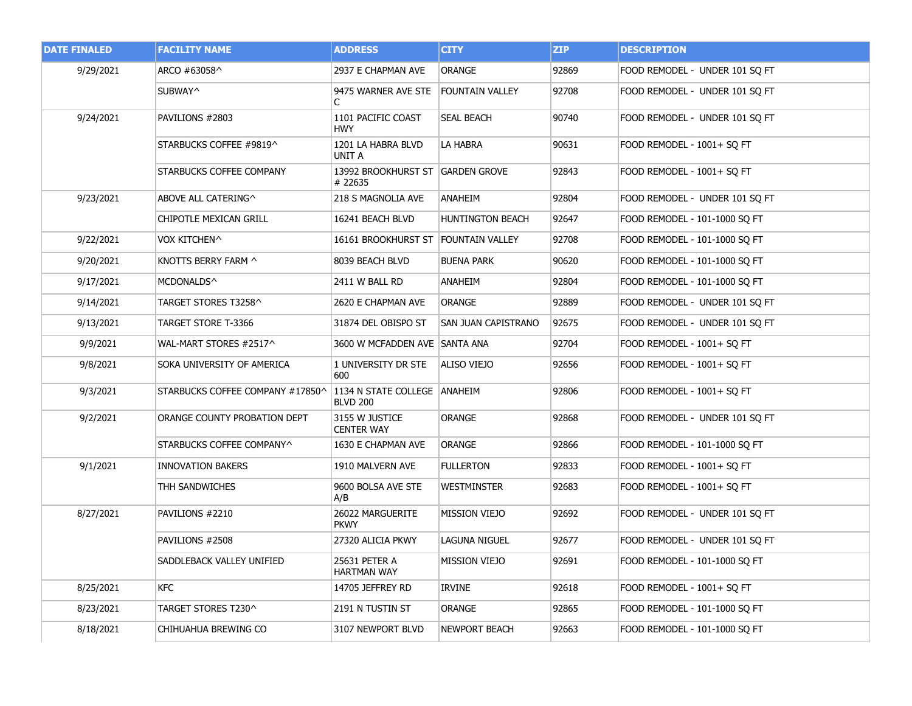| <b>DATE FINALED</b> | <b>FACILITY NAME</b>             | <b>ADDRESS</b>                                  | <b>CITY</b>             | ZIP   | <b>DESCRIPTION</b>             |
|---------------------|----------------------------------|-------------------------------------------------|-------------------------|-------|--------------------------------|
| 9/29/2021           | ARCO #63058^                     | 2937 E CHAPMAN AVE                              | <b>ORANGE</b>           | 92869 | FOOD REMODEL - UNDER 101 SQ FT |
|                     | SUBWAY^                          | 9475 WARNER AVE STE<br>C                        | <b>FOUNTAIN VALLEY</b>  | 92708 | FOOD REMODEL - UNDER 101 SQ FT |
| 9/24/2021           | PAVILIONS #2803                  | 1101 PACIFIC COAST<br><b>HWY</b>                | <b>SEAL BEACH</b>       | 90740 | FOOD REMODEL - UNDER 101 SQ FT |
|                     | STARBUCKS COFFEE #9819^          | 1201 LA HABRA BLVD<br>UNIT A                    | LA HABRA                | 90631 | FOOD REMODEL - 1001+ SQ FT     |
|                     | STARBUCKS COFFEE COMPANY         | 13992 BROOKHURST ST GARDEN GROVE<br># 22635     |                         | 92843 | FOOD REMODEL - 1001+ SO FT     |
| 9/23/2021           | ABOVE ALL CATERING^              | 218 S MAGNOLIA AVE                              | ANAHEIM                 | 92804 | FOOD REMODEL - UNDER 101 SQ FT |
|                     | CHIPOTLE MEXICAN GRILL           | 16241 BEACH BLVD                                | <b>HUNTINGTON BEACH</b> | 92647 | FOOD REMODEL - 101-1000 SQ FT  |
| 9/22/2021           | VOX KITCHEN^                     | 16161 BROOKHURST ST FOUNTAIN VALLEY             |                         | 92708 | FOOD REMODEL - 101-1000 SQ FT  |
| 9/20/2021           | KNOTTS BERRY FARM ^              | 8039 BEACH BLVD                                 | <b>BUENA PARK</b>       | 90620 | FOOD REMODEL - 101-1000 SO FT  |
| 9/17/2021           | MCDONALDS^                       | 2411 W BALL RD                                  | ANAHEIM                 | 92804 | FOOD REMODEL - 101-1000 SQ FT  |
| 9/14/2021           | TARGET STORES T3258^             | 2620 E CHAPMAN AVE                              | <b>ORANGE</b>           | 92889 | FOOD REMODEL - UNDER 101 SQ FT |
| 9/13/2021           | TARGET STORE T-3366              | 31874 DEL OBISPO ST                             | SAN JUAN CAPISTRANO     | 92675 | FOOD REMODEL - UNDER 101 SQ FT |
| 9/9/2021            | WAL-MART STORES #2517^           | 3600 W MCFADDEN AVE SANTA ANA                   |                         | 92704 | FOOD REMODEL - 1001+ SQ FT     |
| 9/8/2021            | SOKA UNIVERSITY OF AMERICA       | 1 UNIVERSITY DR STE<br>600                      | ALISO VIEJO             | 92656 | FOOD REMODEL - 1001+ SQ FT     |
| 9/3/2021            | STARBUCKS COFFEE COMPANY #17850^ | 1134 N STATE COLLEGE ANAHEIM<br><b>BLVD 200</b> |                         | 92806 | FOOD REMODEL - 1001+ SQ FT     |
| 9/2/2021            | ORANGE COUNTY PROBATION DEPT     | 3155 W JUSTICE<br><b>CENTER WAY</b>             | <b>ORANGE</b>           | 92868 | FOOD REMODEL - UNDER 101 SQ FT |
|                     | STARBUCKS COFFEE COMPANY^        | 1630 E CHAPMAN AVE                              | ORANGE                  | 92866 | FOOD REMODEL - 101-1000 SQ FT  |
| 9/1/2021            | <b>INNOVATION BAKERS</b>         | 1910 MALVERN AVE                                | <b>FULLERTON</b>        | 92833 | FOOD REMODEL - 1001+ SQ FT     |
|                     | THH SANDWICHES                   | 9600 BOLSA AVE STE<br>A/B                       | WESTMINSTER             | 92683 | FOOD REMODEL - 1001+ SQ FT     |
| 8/27/2021           | PAVILIONS #2210                  | 26022 MARGUERITE<br><b>PKWY</b>                 | MISSION VIEJO           | 92692 | FOOD REMODEL - UNDER 101 SO FT |
|                     | PAVILIONS #2508                  | 27320 ALICIA PKWY                               | LAGUNA NIGUEL           | 92677 | FOOD REMODEL - UNDER 101 SQ FT |
|                     | SADDLEBACK VALLEY UNIFIED        | 25631 PETER A<br><b>HARTMAN WAY</b>             | <b>MISSION VIEJO</b>    | 92691 | FOOD REMODEL - 101-1000 SQ FT  |
| 8/25/2021           | <b>KFC</b>                       | 14705 JEFFREY RD                                | IRVINE                  | 92618 | FOOD REMODEL - 1001+ SQ FT     |
| 8/23/2021           | TARGET STORES T230^              | 2191 N TUSTIN ST                                | <b>ORANGE</b>           | 92865 | FOOD REMODEL - 101-1000 SO FT  |
| 8/18/2021           | CHIHUAHUA BREWING CO             | 3107 NEWPORT BLVD                               | NEWPORT BEACH           | 92663 | FOOD REMODEL - 101-1000 SQ FT  |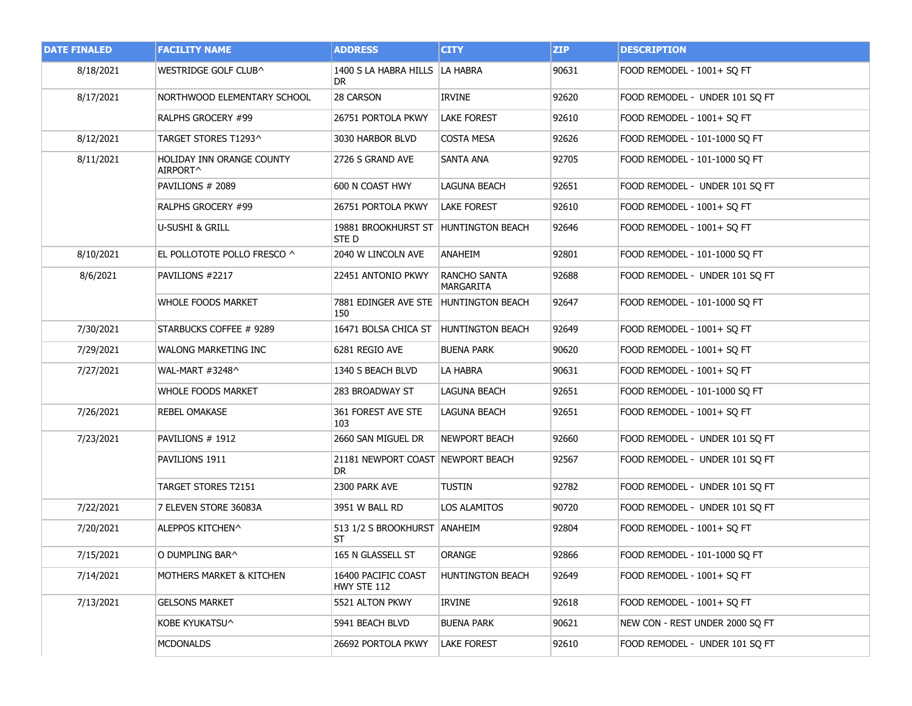| <b>DATE FINALED</b> | <b>FACILITY NAME</b>                  | <b>ADDRESS</b>                                | <b>CITY</b>               | <b>ZIP</b> | <b>DESCRIPTION</b>              |
|---------------------|---------------------------------------|-----------------------------------------------|---------------------------|------------|---------------------------------|
| 8/18/2021           | WESTRIDGE GOLF CLUB^                  | 1400 S LA HABRA HILLS   LA HABRA<br>DR.       |                           | 90631      | FOOD REMODEL - 1001+ SQ FT      |
| 8/17/2021           | NORTHWOOD ELEMENTARY SCHOOL           | 28 CARSON                                     | <b>IRVINE</b>             | 92620      | FOOD REMODEL - UNDER 101 SQ FT  |
|                     | RALPHS GROCERY #99                    | 26751 PORTOLA PKWY                            | <b>LAKE FOREST</b>        | 92610      | FOOD REMODEL - 1001+ SQ FT      |
| 8/12/2021           | TARGET STORES T1293^                  | 3030 HARBOR BLVD                              | COSTA MESA                | 92626      | FOOD REMODEL - 101-1000 SQ FT   |
| 8/11/2021           | HOLIDAY INN ORANGE COUNTY<br>AIRPORT^ | 2726 S GRAND AVE                              | SANTA ANA                 | 92705      | FOOD REMODEL - 101-1000 SQ FT   |
|                     | PAVILIONS # 2089                      | 600 N COAST HWY                               | LAGUNA BEACH              | 92651      | FOOD REMODEL - UNDER 101 SQ FT  |
|                     | RALPHS GROCERY #99                    | 26751 PORTOLA PKWY                            | <b>LAKE FOREST</b>        | 92610      | FOOD REMODEL - 1001+ SQ FT      |
|                     | U-SUSHI & GRILL                       | 19881 BROOKHURST ST HUNTINGTON BEACH<br>STE D |                           | 92646      | FOOD REMODEL - 1001+ SQ FT      |
| 8/10/2021           | EL POLLOTOTE POLLO FRESCO ^           | 2040 W LINCOLN AVE                            | ANAHEIM                   | 92801      | FOOD REMODEL - 101-1000 SQ FT   |
| 8/6/2021            | PAVILIONS #2217                       | 22451 ANTONIO PKWY                            | RANCHO SANTA<br>MARGARITA | 92688      | FOOD REMODEL - UNDER 101 SQ FT  |
|                     | WHOLE FOODS MARKET                    | 7881 EDINGER AVE STE HUNTINGTON BEACH<br>150  |                           | 92647      | FOOD REMODEL - 101-1000 SO FT   |
| 7/30/2021           | STARBUCKS COFFEE # 9289               | 16471 BOLSA CHICA ST HUNTINGTON BEACH         |                           | 92649      | FOOD REMODEL - 1001+ SQ FT      |
| 7/29/2021           | WALONG MARKETING INC                  | 6281 REGIO AVE                                | buena park                | 90620      | FOOD REMODEL - 1001+ SQ FT      |
| 7/27/2021           | WAL-MART #3248^                       | 1340 S BEACH BLVD                             | LA HABRA                  | 90631      | FOOD REMODEL - 1001+ SQ FT      |
|                     | <b>WHOLE FOODS MARKET</b>             | 283 BROADWAY ST                               | LAGUNA BEACH              | 92651      | FOOD REMODEL - 101-1000 SQ FT   |
| 7/26/2021           | REBEL OMAKASE                         | 361 FOREST AVE STE<br>103                     | <b>LAGUNA BEACH</b>       | 92651      | FOOD REMODEL - 1001+ SQ FT      |
| 7/23/2021           | PAVILIONS # 1912                      | 2660 SAN MIGUEL DR                            | <b>NEWPORT BEACH</b>      | 92660      | FOOD REMODEL - UNDER 101 SQ FT  |
|                     | PAVILIONS 1911                        | 21181 NEWPORT COAST NEWPORT BEACH<br>DR       |                           | 92567      | FOOD REMODEL - UNDER 101 SQ FT  |
|                     | TARGET STORES T2151                   | 2300 PARK AVE                                 | tustin                    | 92782      | FOOD REMODEL - UNDER 101 SQ FT  |
| 7/22/2021           | 7 ELEVEN STORE 36083A                 | 3951 W BALL RD                                | LOS ALAMITOS              | 90720      | FOOD REMODEL - UNDER 101 SQ FT  |
| 7/20/2021           | ALEPPOS KITCHEN^                      | 513 1/2 S BROOKHURST ANAHEIM<br>ST            |                           | 92804      | FOOD REMODEL - 1001+ SQ FT      |
| 7/15/2021           | O DUMPLING BAR^                       | 165 N GLASSELL ST                             | ORANGE                    | 92866      | FOOD REMODEL - 101-1000 SQ FT   |
| 7/14/2021           | MOTHERS MARKET & KITCHEN              | 16400 PACIFIC COAST<br>HWY STE 112            | HUNTINGTON BEACH          | 92649      | FOOD REMODEL - 1001+ SQ FT      |
| 7/13/2021           | <b>GELSONS MARKET</b>                 | 5521 ALTON PKWY                               | IRVINE                    | 92618      | FOOD REMODEL - 1001+ SO FT      |
|                     | KOBE KYUKATSU^                        | 5941 BEACH BLVD                               | <b>BUENA PARK</b>         | 90621      | NEW CON - REST UNDER 2000 SQ FT |
|                     | MCDONALDS                             | 26692 PORTOLA PKWY                            | LAKE FOREST               | 92610      | FOOD REMODEL - UNDER 101 SO FT  |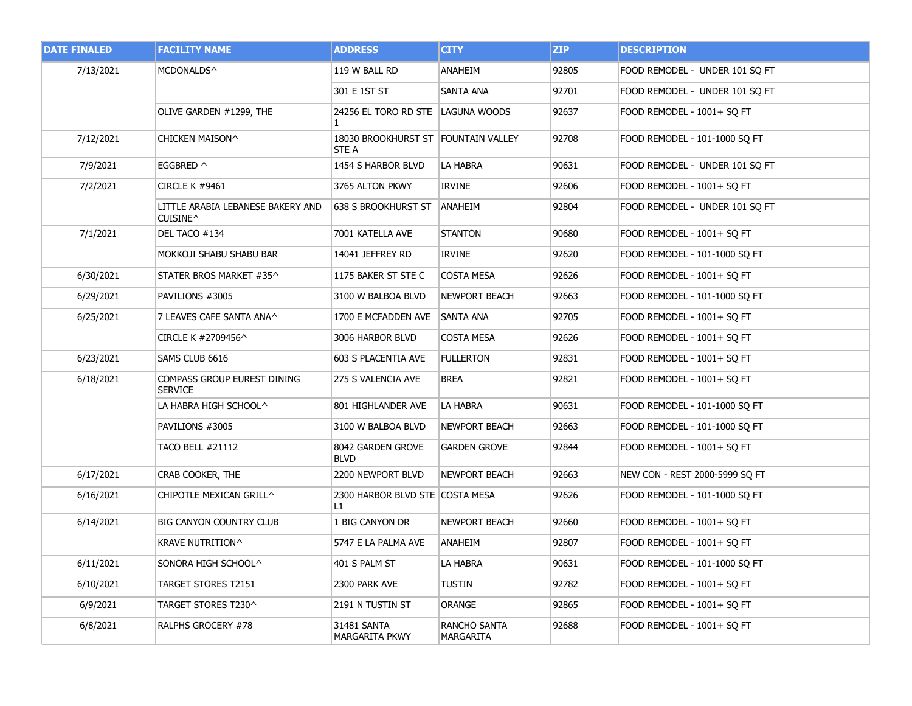| <b>DATE FINALED</b> | <b>FACILITY NAME</b>                          | <b>ADDRESS</b>                               | <b>CITY</b>                      | ZIP   | <b>DESCRIPTION</b>             |
|---------------------|-----------------------------------------------|----------------------------------------------|----------------------------------|-------|--------------------------------|
| 7/13/2021           | MCDONALDS^                                    | 119 W BALL RD                                | ANAHEIM                          | 92805 | FOOD REMODEL - UNDER 101 SQ FT |
|                     |                                               | 301 E 1ST ST                                 | <b>SANTA ANA</b>                 | 92701 | FOOD REMODEL - UNDER 101 SO FT |
|                     | OLIVE GARDEN #1299, THE                       | 24256 EL TORO RD STE LAGUNA WOODS<br>1.      |                                  | 92637 | FOOD REMODEL - 1001+ SQ FT     |
| 7/12/2021           | CHICKEN MAISON^                               | 18030 BROOKHURST ST FOUNTAIN VALLEY<br>STE A |                                  | 92708 | FOOD REMODEL - 101-1000 SO FT  |
| 7/9/2021            | EGGBRED ^                                     | 1454 S HARBOR BLVD                           | LA HABRA                         | 90631 | FOOD REMODEL - UNDER 101 SQ FT |
| 7/2/2021            | CIRCLE K #9461                                | 3765 ALTON PKWY                              | IRVINE                           | 92606 | FOOD REMODEL - 1001+ SQ FT     |
|                     | LITTLE ARABIA LEBANESE BAKERY AND<br>CUISINE^ | 638 S BROOKHURST ST ANAHEIM                  |                                  | 92804 | FOOD REMODEL - UNDER 101 SQ FT |
| 7/1/2021            | DEL TACO #134                                 | 7001 KATELLA AVE                             | <b>STANTON</b>                   | 90680 | FOOD REMODEL - 1001+ SO FT     |
|                     | MOKKOJI SHABU SHABU BAR                       | 14041 JEFFREY RD                             | IRVINE                           | 92620 | FOOD REMODEL - 101-1000 SQ FT  |
| 6/30/2021           | STATER BROS MARKET #35^                       | 1175 BAKER ST STE C                          | <b>COSTA MESA</b>                | 92626 | FOOD REMODEL - 1001+ SQ FT     |
| 6/29/2021           | PAVILIONS #3005                               | 3100 W BALBOA BLVD                           | <b>NEWPORT BEACH</b>             | 92663 | FOOD REMODEL - 101-1000 SQ FT  |
| 6/25/2021           | 7 LEAVES CAFE SANTA ANA^                      | 1700 E MCFADDEN AVE SANTA ANA                |                                  | 92705 | FOOD REMODEL - 1001+ SQ FT     |
|                     | CIRCLE K #2709456^                            | 3006 HARBOR BLVD                             | <b>COSTA MESA</b>                | 92626 | FOOD REMODEL - 1001+ SQ FT     |
| 6/23/2021           | SAMS CLUB 6616                                | 603 S PLACENTIA AVE                          | <b>FULLERTON</b>                 | 92831 | FOOD REMODEL - 1001+ SQ FT     |
| 6/18/2021           | COMPASS GROUP EUREST DINING<br><b>SERVICE</b> | 275 S VALENCIA AVE                           | <b>BREA</b>                      | 92821 | FOOD REMODEL - 1001+ SQ FT     |
|                     | LA HABRA HIGH SCHOOL^                         | 801 HIGHLANDER AVE                           | LA HABRA                         | 90631 | FOOD REMODEL - 101-1000 SQ FT  |
|                     | PAVILIONS #3005                               | 3100 W BALBOA BLVD                           | <b>NEWPORT BEACH</b>             | 92663 | FOOD REMODEL - 101-1000 SO FT  |
|                     | <b>TACO BELL #21112</b>                       | 8042 GARDEN GROVE<br><b>BLVD</b>             | <b>GARDEN GROVE</b>              | 92844 | FOOD REMODEL - 1001+ SQ FT     |
| 6/17/2021           | CRAB COOKER, THE                              | 2200 NEWPORT BLVD                            | <b>NEWPORT BEACH</b>             | 92663 | NEW CON - REST 2000-5999 SQ FT |
| 6/16/2021           | CHIPOTLE MEXICAN GRILL^                       | 2300 HARBOR BLVD STE COSTA MESA<br>L1.       |                                  | 92626 | FOOD REMODEL - 101-1000 SQ FT  |
| 6/14/2021           | <b>BIG CANYON COUNTRY CLUB</b>                | 1 BIG CANYON DR                              | <b>NEWPORT BEACH</b>             | 92660 | FOOD REMODEL - 1001+ SQ FT     |
|                     | KRAVE NUTRITION^                              | 5747 E LA PALMA AVE                          | <b>ANAHEIM</b>                   | 92807 | FOOD REMODEL - 1001+ SO FT     |
| 6/11/2021           | SONORA HIGH SCHOOL^                           | 401 S PALM ST                                | LA HABRA                         | 90631 | FOOD REMODEL - 101-1000 SQ FT  |
| 6/10/2021           | TARGET STORES T2151                           | 2300 PARK AVE                                | <b>TUSTIN</b>                    | 92782 | FOOD REMODEL - 1001+ SQ FT     |
| 6/9/2021            | TARGET STORES T230^                           | 2191 N TUSTIN ST                             | ORANGE                           | 92865 | FOOD REMODEL - 1001+ SQ FT     |
| 6/8/2021            | RALPHS GROCERY #78                            | 31481 SANTA<br>MARGARITA PKWY                | RANCHO SANTA<br><b>MARGARITA</b> | 92688 | FOOD REMODEL - 1001+ SQ FT     |